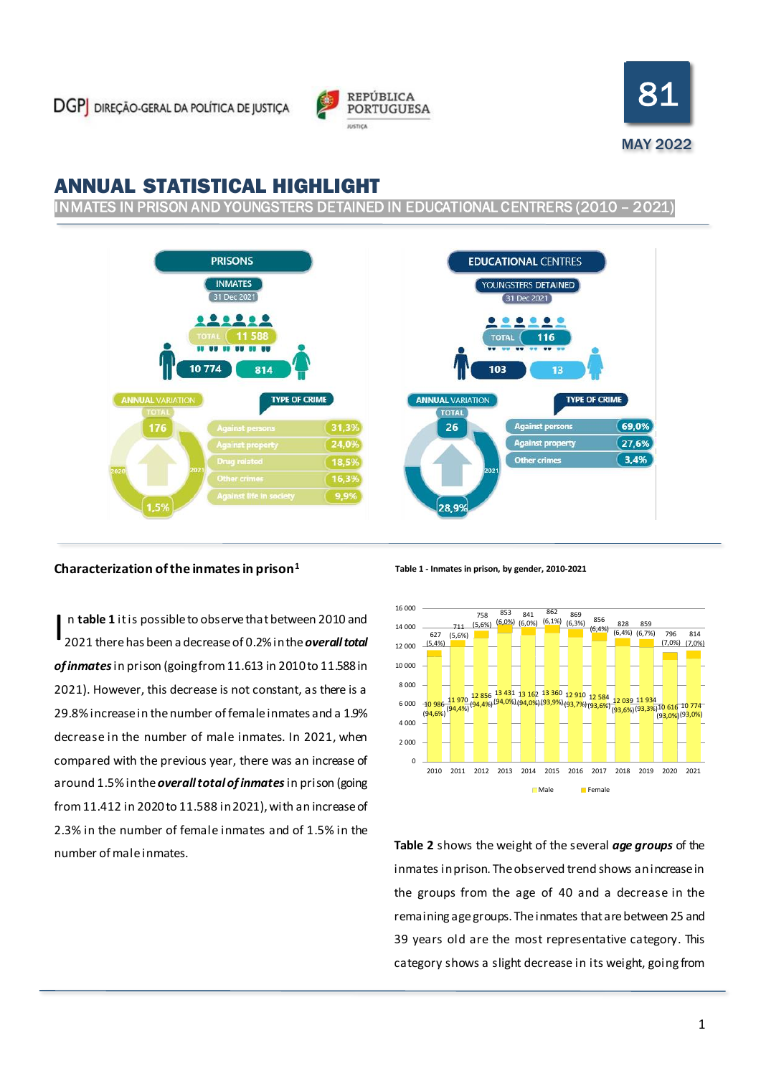



# ANNUAL STATISTICAL HIGHLIGHT

INMATES IN PRISON AND YOUNGSTERS DETAINED IN EDUCATIONAL CENTRERS (2010 – 2021)



# **Characterization of the inmates in prison<sup>1</sup>**

n **table 1** it is possible to observe that between 2010 and 2021 there has been a decrease of 0.2% in the *overall total of inmates*in prison (going from 11.613 in 2010 to 11.588 in 2021). However, this decrease is not constant, as there is a 29.8% increase in the number of female inmates and a 1.9% decrease in the number of male inmates. In 2021, when compared with the previous year, there was an increase of around 1.5% in the *overall total of inmates*in prison (going from 11.412 in 2020to 11.588 in 2021), with an increase of 2.3% in the number of female inmates and of 1.5% in the number of male inmates. I

**Table 1 - Inmates in prison, by gender, 2010-2021**



**Table 2** shows the weight of the several *age groups* of the inmates in prison. The observed trend shows anincrease in the groups from the age of 40 and a decrease in the remaining age groups. The inmates that are between 25 and 39 years old are the most representative category. This category shows a slight decrease in its weight, going from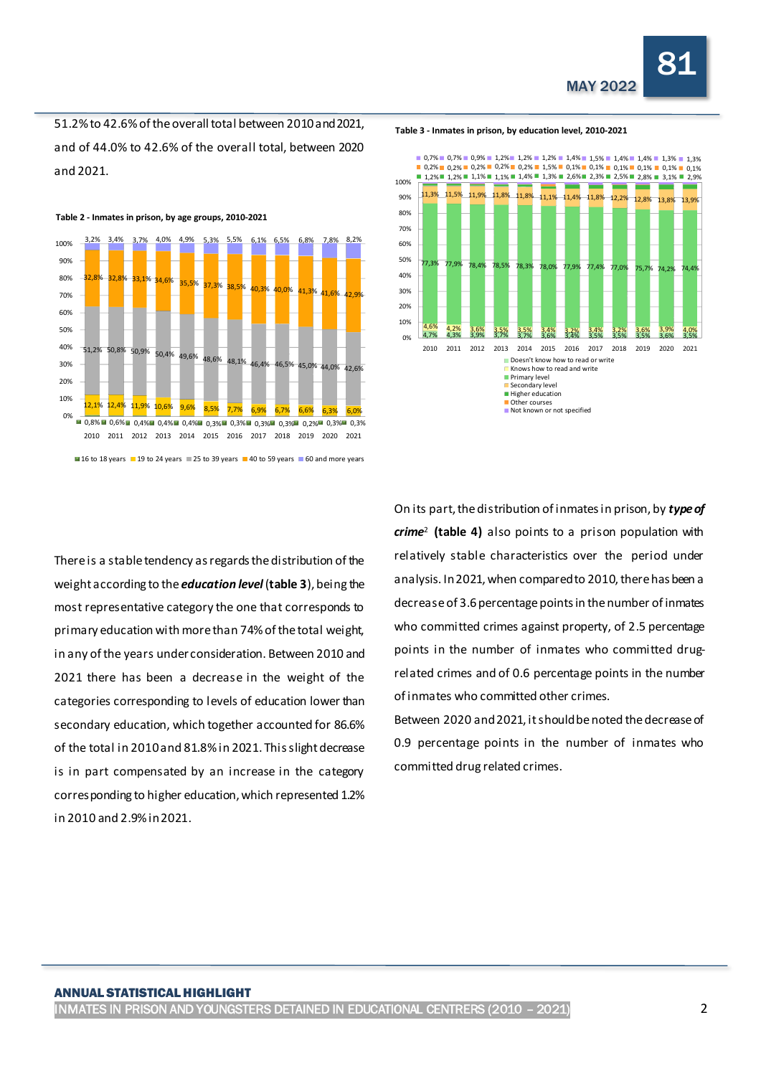51.2% to 42.6% of theoverall total between 2010 and 2021, and of 44.0% to 42.6% of the overall total, between 2020 and 2021.



**Table 2 - Inmates in prison, by age groups, 2010-2021**

L

There is a stable tendency as regards the distribution of the weight according to the *education level*(**table 3**), being the most representative category the one that corresponds to primary education with more than 74% of the total weight, in any of the years under consideration. Between 2010 and 2021 there has been a decrease in the weight of the categories corresponding to levels of education lower than secondary education, which together accounted for 86.6% of the total in 2010 and 81.8% in 2021. This slight decrease is in part compensated by an increase in the category corresponding to higher education, which represented 1.2% in 2010 and 2.9% in 2021.

On its part, the distribution of inmates in prison, by *type of crime*<sup>2</sup> **(table 4)** also points to a prison population with relatively stable characteristics over the period under analysis. In 2021, when compared to 2010, there has been a decrease of 3.6 percentage points in the number of inmates who committed crimes against property, of 2.5 percentage points in the number of inmates who committed drugrelated crimes and of 0.6 percentage points in the number of inmates who committed other crimes.

4,7% 4,3% 3,9% 3,7% 3,7% 3,6% 3,4% 3,5% 3,5% 3,5% 3,6% 3,5%  $\frac{4,6\%}{4,2\%}$  3,6% 3,5% 3,5% 3,4% 3,2% 3,4% 3,2% 3,6% 3,9% 4,0%

2010 2011 2012 2013 2014 2015 2016 2017 2018 2019 2020 2021 Doesn't know how to read or write Knows how to read and write

**Primary level** Secondary level Higher education Other courses Not known or not specified

77,3% 77,9% 78,4% 78,5% 78,3% 78,0% 77,9% 77,4% 77,0% 75,7% 74,2% 74,4%

 $\frac{11,3\%}{11,5\%}$   $\frac{11,9\%}{11,8\%}$   $\frac{11,8\%}{11,8\%}$   $\frac{11,4\%}{11,8\%}$   $\frac{12,2\%}{12,2\%}$  12,8% 12,8% 13,9% 0,2% **0** 0,2% **0** 0,2% **0** 0,2% **0** 0,2% **0** 1,5% **0** 0,1% **0** 0,1% **0** 0,1% **0** 0,1% **0** 0,1% **0** 0,1% **0** 0,1% **0** 0,1% **0** 0,1% **0** 0,1% **0** 0,1% **0** 0,1% **0** 0,1% **0** 0,1% **0** 0,1% **0** 0,1% **0** 0,1% **0** 0,1% **0** 0,1%  $0,7\%$  0,7% 0,9% 1,2% 1,2% 1,2% 1,2% 1,4% 1,5% 1,4% 1,4% 1,3% 1,3%

Between 2020 and 2021, it should be noted the decrease of 0.9 percentage points in the number of inmates who committed drug related crimes.

#### **Table 3 - Inmates in prison, by education level, 2010-2021**

0% 10% 20% 30%  $40%$ 50% 60% 70% 80% 90% 100%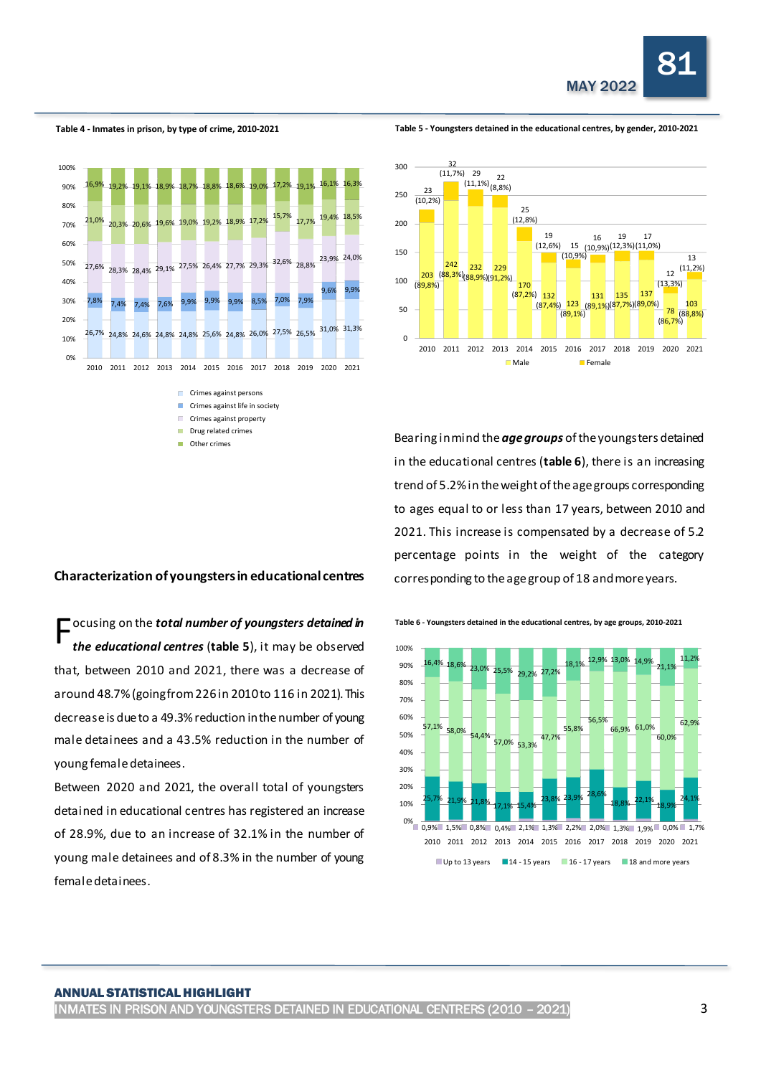

**Table 4 - Inmates in prison, by type of crime, 2010-2021**

L

**Table 5 - Youngsters detained in the educational centres, by gender, 2010-2021**





Bearing in mind the *age groups* of the youngsters detained in the educational centres (**table 6**), there is an increasing trend of 5.2% in the weight of the age groups corresponding to ages equal to or less than 17 years, between 2010 and 2021. This increase is compensated by a decrease of 5.2 percentage points in the weight of the category corresponding to the age group of 18 and more years.

# **Characterization of youngsters in educational centres**

**F** ocusing on the *total number of youngsters detained in*<br>
the educational centres (table 5), it may be observed *the educational centres* (**table 5**), it may be observed that, between 2010 and 2021, there was a decrease of around 48.7% (going from 226 in 2010 to 116 in 2021). This decrease is due to a 49.3% reduction in the number of young male detainees and a 43.5% reduction in the number of young female detainees.

Between 2020 and 2021, the overall total of youngsters detained in educational centres has registered an increase of 28.9%, due to an increase of 32.1% in the number of young male detainees and of 8.3% in the number of young female detainees.

**Table 6 - Youngsters detained in the educational centres, by age groups, 2010-2021**

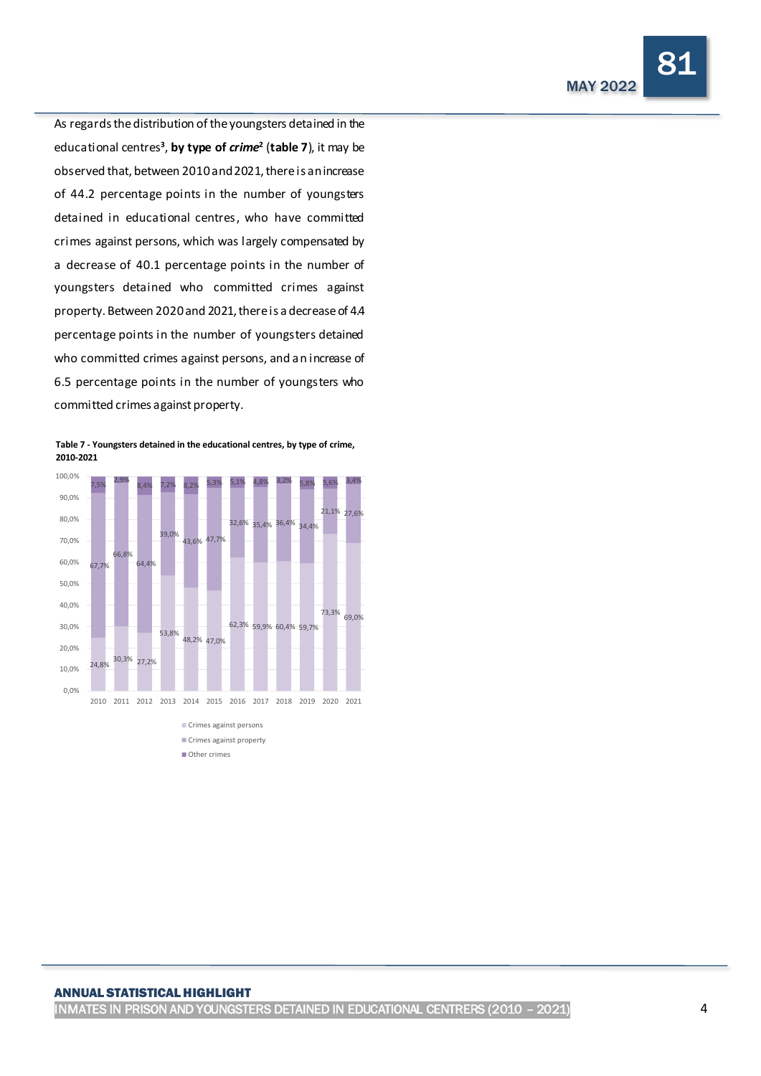81

As regards the distribution of the youngsters detained in the educational centres**<sup>3</sup>** , **by type of** *crime***<sup>2</sup>** (**table 7**), it may be observed that, between 2010 and 2021, there is an increase of 44.2 percentage points in the number of youngsters detained in educational centres, who have committed crimes against persons, which was largely compensated by a decrease of 40.1 percentage points in the number of youngsters detained who committed crimes against property. Between 2020and 2021, there is a decreaseof 4.4 percentage points in the number of youngsters detained who committed crimes against persons, and an increase of 6.5 percentage points in the number of youngsters who committed crimes against property.

L

**Table 7 - Youngsters detained in the educational centres, by type of crime, 2010-2021**



#### ANNUAL STATISTICAL HIGHLIGHT

INMATES IN PRISON AND YOUNGSTERS DETAINED IN EDUCATIONAL CENTRERS (2010 – 2021) 4